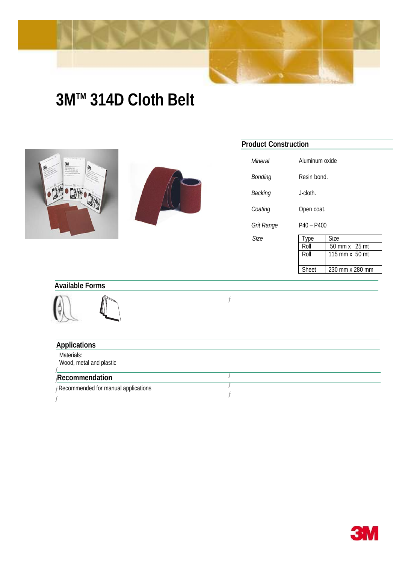

## **3MTM 314D Cloth Belt**





## **Product Construction**

| Mineral    | Aluminum oxide |                 |
|------------|----------------|-----------------|
| Bonding    | Resin bond.    |                 |
| Backing    | J-cloth.       |                 |
| Coating    | Open coat.     |                 |
| Grit Range | $P40 - P400$   |                 |
| Size       | Type           | Size            |
|            | Roll           | 50 mm x 25 mt   |
|            | Roll           | 115 mm x 50 mt  |
|            | Sheet          | 230 mm x 280 mm |

## **Available Forms**



 $\boldsymbol{f}$ 

| <b>Applications</b>                         |  |
|---------------------------------------------|--|
| Materials:<br>Wood, metal and plastic       |  |
| <b>Recommendation</b>                       |  |
| <b>FRecommended for manual applications</b> |  |
|                                             |  |